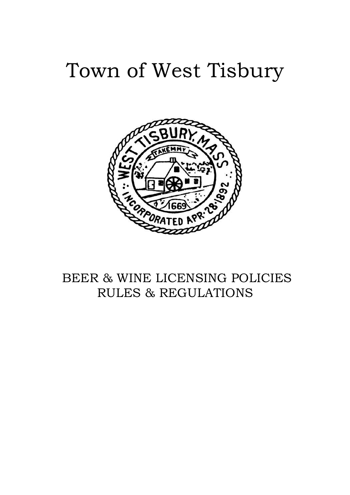# Town of West Tisbury



# BEER & WINE LICENSING POLICIES RULES & REGULATIONS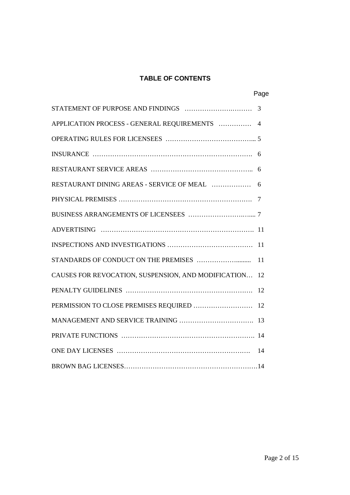# **TABLE OF CONTENTS**

Page

|                                                        | 3  |
|--------------------------------------------------------|----|
| APPLICATION PROCESS - GENERAL REQUIREMENTS  4          |    |
|                                                        |    |
|                                                        |    |
|                                                        |    |
| RESTAURANT DINING AREAS - SERVICE OF MEAL              | 6  |
|                                                        | -7 |
|                                                        |    |
|                                                        |    |
|                                                        |    |
|                                                        | 11 |
| CAUSES FOR REVOCATION, SUSPENSION, AND MODIFICATION 12 |    |
|                                                        |    |
|                                                        |    |
|                                                        |    |
|                                                        |    |
|                                                        |    |
|                                                        |    |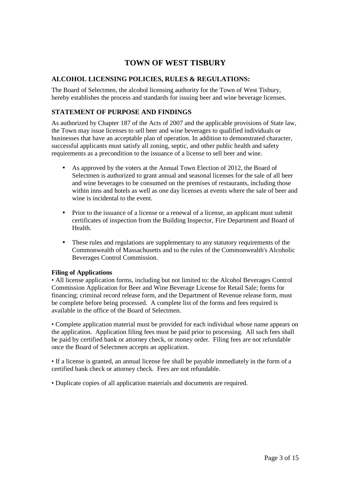# **TOWN OF WEST TISBURY**

# **ALCOHOL LICENSING POLICIES, RULES & REGULATIONS:**

The Board of Selectmen, the alcohol licensing authority for the Town of West Tisbury, hereby establishes the process and standards for issuing beer and wine beverage licenses.

# **STATEMENT OF PURPOSE AND FINDINGS**

As authorized by Chapter 187 of the Acts of 2007 and the applicable provisions of State law, the Town may issue licenses to sell beer and wine beverages to qualified individuals or businesses that have an acceptable plan of operation. In addition to demonstrated character, successful applicants must satisfy all zoning, septic, and other public health and safety requirements as a precondition to the issuance of a license to sell beer and wine.

- As approved by the voters at the Annual Town Election of 2012, the Board of Selectmen is authorized to grant annual and seasonal licenses for the sale of all beer and wine beverages to be consumed on the premises of restaurants, including those within inns and hotels as well as one day licenses at events where the sale of beer and wine is incidental to the event.
- Prior to the issuance of a license or a renewal of a license, an applicant must submit certificates of inspection from the Building Inspector, Fire Department and Board of Health.
- These rules and regulations are supplementary to any statutory requirements of the Commonwealth of Massachusetts and to the rules of the Commonwealth's Alcoholic Beverages Control Commission.

#### **Filing of Applications**

• All license application forms, including but not limited to: the Alcohol Beverages Control Commission Application for Beer and Wine Beverage License for Retail Sale; forms for financing; criminal record release form, and the Department of Revenue release form, must be complete before being processed. A complete list of the forms and fees required is available in the office of the Board of Selectmen.

• Complete application material must be provided for each individual whose name appears on the application. Application filing fees must be paid prior to processing. All such fees shall be paid by certified bank or attorney check, or money order. Filing fees are not refundable once the Board of Selectmen accepts an application.

• If a license is granted, an annual license fee shall be payable immediately in the form of a certified bank check or attorney check. Fees are not refundable.

• Duplicate copies of all application materials and documents are required.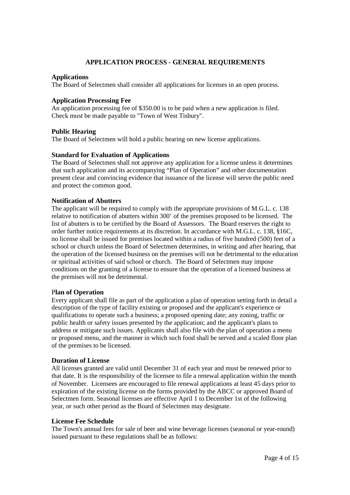# **APPLICATION PROCESS - GENERAL REQUIREMENTS**

#### **Applications**

The Board of Selectmen shall consider all applications for licenses in an open process.

#### **Application Processing Fee**

An application processing fee of \$350.00 is to be paid when a new application is filed. Check must be made payable to "Town of West Tisbury".

#### **Public Hearing**

The Board of Selectmen will hold a public hearing on new license applications.

#### **Standard for Evaluation of Applications**

The Board of Selectmen shall not approve any application for a license unless it determines that such application and its accompanying "Plan of Operation" and other documentation present clear and convincing evidence that issuance of the license will serve the public need and protect the common good.

#### **Notification of Abutters**

The applicant will be required to comply with the appropriate provisions of M.G.L. c. 138 relative to notification of abutters within 300' of the premises proposed to be licensed. The list of abutters is to be certified by the Board of Assessors. The Board reserves the right to order further notice requirements at its discretion. In accordance with M.G.L. c. 138, §16C, no license shall be issued for premises located within a radius of five hundred (500) feet of a school or church unless the Board of Selectmen determines, in writing and after hearing, that the operation of the licensed business on the premises will not be detrimental to the education or spiritual activities of said school or church. The Board of Selectmen may impose conditions on the granting of a license to ensure that the operation of a licensed business at the premises will not be detrimental.

#### P**lan of Operation**

Every applicant shall file as part of the application a plan of operation setting forth in detail a description of the type of facility existing or proposed and the applicant's experience or qualifications to operate such a business; a proposed opening date; any zoning, traffic or public health or safety issues presented by the application; and the applicant's plans to address or mitigate such issues. Applicants shall also file with the plan of operation a menu or proposed menu, and the manner in which such food shall be served and a scaled floor plan of the premises to be licensed.

#### **Duration of License**

All licenses granted are valid until December 31 of each year and must be renewed prior to that date. It is the responsibility of the licensee to file a renewal application within the month of November. Licensees are encouraged to file renewal applications at least 45 days prior to expiration of the existing license on the forms provided by the ABCC or approved Board of Selectmen form. Seasonal licenses are effective April 1 to December 1st of the following year, or such other period as the Board of Selectmen may designate.

#### **License Fee Schedule**

The Town's annual fees for sale of beer and wine beverage licenses (seasonal or year-round) issued pursuant to these regulations shall be as follows: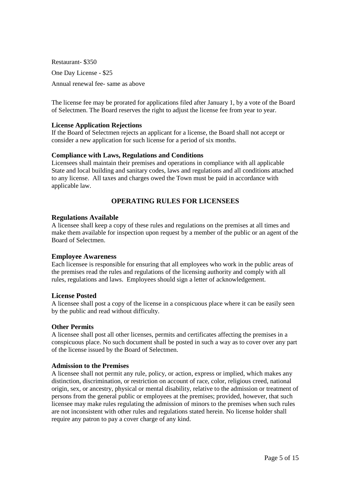Restaurant- \$350 One Day License - \$25 Annual renewal fee- same as above

The license fee may be prorated for applications filed after January 1, by a vote of the Board of Selectmen. The Board reserves the right to adjust the license fee from year to year.

#### **License Application Rejections**

If the Board of Selectmen rejects an applicant for a license, the Board shall not accept or consider a new application for such license for a period of six months.

#### **Compliance with Laws, Regulations and Conditions**

Licensees shall maintain their premises and operations in compliance with all applicable State and local building and sanitary codes, laws and regulations and all conditions attached to any license. All taxes and charges owed the Town must be paid in accordance with applicable law.

# **OPERATING RULES FOR LICENSEES**

#### **Regulations Available**

A licensee shall keep a copy of these rules and regulations on the premises at all times and make them available for inspection upon request by a member of the public or an agent of the Board of Selectmen.

#### **Employee Awareness**

Each licensee is responsible for ensuring that all employees who work in the public areas of the premises read the rules and regulations of the licensing authority and comply with all rules, regulations and laws. Employees should sign a letter of acknowledgement.

#### **License Posted**

A licensee shall post a copy of the license in a conspicuous place where it can be easily seen by the public and read without difficulty.

#### **Other Permits**

A licensee shall post all other licenses, permits and certificates affecting the premises in a conspicuous place. No such document shall be posted in such a way as to cover over any part of the license issued by the Board of Selectmen.

#### **Admission to the Premises**

A licensee shall not permit any rule, policy, or action, express or implied, which makes any distinction, discrimination, or restriction on account of race, color, religious creed, national origin, sex, or ancestry, physical or mental disability, relative to the admission or treatment of persons from the general public or employees at the premises; provided, however, that such licensee may make rules regulating the admission of minors to the premises when such rules are not inconsistent with other rules and regulations stated herein. No license holder shall require any patron to pay a cover charge of any kind.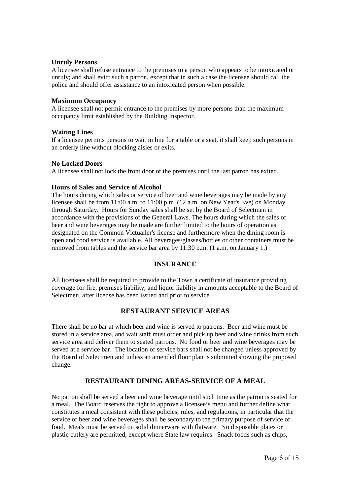#### **Unruly Persons**

A licensee shall refuse entrance to the premises to a person who appears to be intoxicated or unruly; and shall evict such a patron, except that in such a case the licensee should call the police and should offer assistance to an intoxicated person when possible.

#### **Maximum Occupancy**

A licensee shall not permit entrance to the premises by more persons than the maximum occupancy limit established by the Building Inspector.

#### **Waiting Lines**

If a licensee permits persons to wait in line for a table or a seat, it shall keep such persons in an orderly line without blocking aisles or exits.

#### **No Locked Doors**

A licensee shall not lock the front door of the premises until the last patron has exited.

#### **Hours of Sales and Service of Alcohol**

The hours during which sales or service of beer and wine beverages may be made by any licensee shall be from 11:00 a.m. to 11:00 p.m. (12 a.m. on New Year's Eve) on Monday through Saturday. Hours for Sunday sales shall be set by the Board of Selectmen in accordance with the provisions of the General Laws. The hours during which the sales of beer and wine beverages may be made are further limited to the hours of operation as designated on the Common Victualler's license and furthermore when the dining room is open and food service is available. All beverages/glasses/bottles or other containers must be removed from tables and the service bar area by 11:30 p.m. (1 a.m. on January 1.)

#### **INSURANCE**

All licensees shall be required to provide to the Town a certificate of insurance providing coverage for fire, premises liability, and liquor liability in amounts acceptable to the Board of Selectmen, after license has been issued and prior to service.

#### **RESTAURANT SERVICE AREAS**

There shall be no bar at which beer and wine is served to patrons. Beer and wine must be stored in a service area, and wait staff must order and pick up beer and wine drinks from such service area and deliver them to seated patrons. No food or beer and wine beverages may be served at a service bar. The location of service bars shall not be changed unless approved by the Board of Selectmen and unless an amended floor plan is submitted showing the proposed change.

#### **RESTAURANT DINING AREAS-SERVICE OF A MEAL**

No patron shall be served a beer and wine beverage until such time as the patron is seated for a meal. The Board reserves the right to approve a licensee's menu and further define what constitutes a meal consistent with these policies, rules, and regulations, in particular that the service of beer and wine beverages shall be secondary to the primary purpose of service of food. Meals must be served on solid dinnerware with flatware. No disposable plates or plastic cutlery are permitted, except where State law requires. Snack foods such as chips,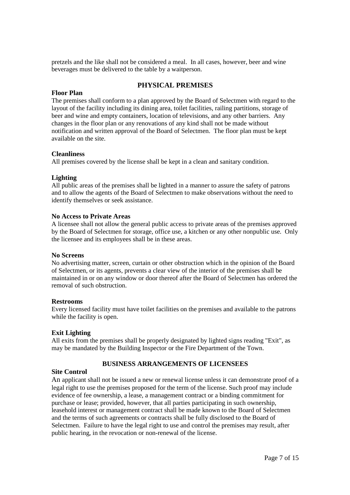pretzels and the like shall not be considered a meal. In all cases, however, beer and wine beverages must be delivered to the table by a waitperson.

# **PHYSICAL PREMISES**

#### **Floor Plan**

The premises shall conform to a plan approved by the Board of Selectmen with regard to the layout of the facility including its dining area, toilet facilities, railing partitions, storage of beer and wine and empty containers, location of televisions, and any other barriers. Any changes in the floor plan or any renovations of any kind shall not be made without notification and written approval of the Board of Selectmen. The floor plan must be kept available on the site.

#### **Cleanliness**

All premises covered by the license shall be kept in a clean and sanitary condition.

#### **Lighting**

All public areas of the premises shall be lighted in a manner to assure the safety of patrons and to allow the agents of the Board of Selectmen to make observations without the need to identify themselves or seek assistance.

#### **No Access to Private Areas**

A licensee shall not allow the general public access to private areas of the premises approved by the Board of Selectmen for storage, office use, a kitchen or any other nonpublic use. Only the licensee and its employees shall be in these areas.

#### **No Screens**

No advertising matter, screen, curtain or other obstruction which in the opinion of the Board of Selectmen, or its agents, prevents a clear view of the interior of the premises shall be maintained in or on any window or door thereof after the Board of Selectmen has ordered the removal of such obstruction.

#### **Restrooms**

Every licensed facility must have toilet facilities on the premises and available to the patrons while the facility is open.

#### **Exit Lighting**

All exits from the premises shall be properly designated by lighted signs reading "Exit", as may be mandated by the Building Inspector or the Fire Department of the Town.

#### **BUSINESS ARRANGEMENTS OF LICENSEES**

#### **Site Control**

An applicant shall not be issued a new or renewal license unless it can demonstrate proof of a legal right to use the premises proposed for the term of the license. Such proof may include evidence of fee ownership, a lease, a management contract or a binding commitment for purchase or lease; provided, however, that all parties participating in such ownership, leasehold interest or management contract shall be made known to the Board of Selectmen and the terms of such agreements or contracts shall be fully disclosed to the Board of Selectmen. Failure to have the legal right to use and control the premises may result, after public hearing, in the revocation or non-renewal of the license.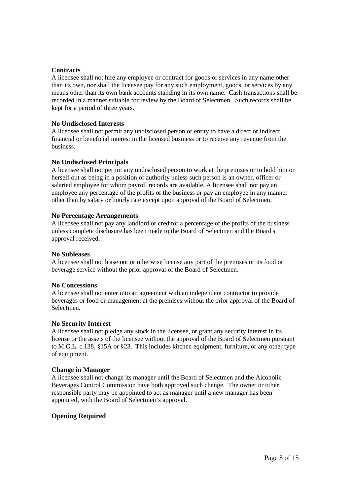#### **Contracts**

A licensee shall not hire any employee or contract for goods or services in any name other than its own, nor shall the licensee pay for any such employment, goods, or services by any means other than its own bank accounts standing in its own name. Cash transactions shall be recorded in a manner suitable for review by the Board of Selectmen. Such records shall be kept for a period of three years.

#### **No Undisclosed Interests**

A licensee shall not permit any undisclosed person or entity to have a direct or indirect financial or beneficial interest in the licensed business or to receive any revenue from the business.

#### **No Undisclosed Principals**

A licensee shall not permit any undisclosed person to work at the premises or to hold him or herself out as being in a position of authority unless such person is an owner, officer or salaried employee for whom payroll records are available. A licensee shall not pay an employee any percentage of the profits of the business or pay an employee in any manner other than by salary or hourly rate except upon approval of the Board of Selectmen.

#### **No Percentage Arrangements**

A licensee shall not pay any landlord or creditor a percentage of the profits of the business unless complete disclosure has been made to the Board of Selectmen and the Board's approval received.

#### **No Subleases**

A licensee shall not lease out or otherwise license any part of the premises or its food or beverage service without the prior approval of the Board of Selectmen.

#### **No Concessions**

A licensee shall not enter into an agreement with an independent contractor to provide beverages or food or management at the premises without the prior approval of the Board of Selectmen.

#### **No Security Interest**

A licensee shall not pledge any stock in the licensee, or grant any security interest in its license or the assets of the licensee without the approval of the Board of Selectmen pursuant to M.G.L. c.138, §15A or §23. This includes kitchen equipment, furniture, or any other type of equipment.

#### **Change in Manager**

A licensee shall not change its manager until the Board of Selectmen and the Alcoholic Beverages Control Commission have both approved such change. The owner or other responsible party may be appointed to act as manager until a new manager has been appointed, with the Board of Selectmen's approval.

#### **Opening Required**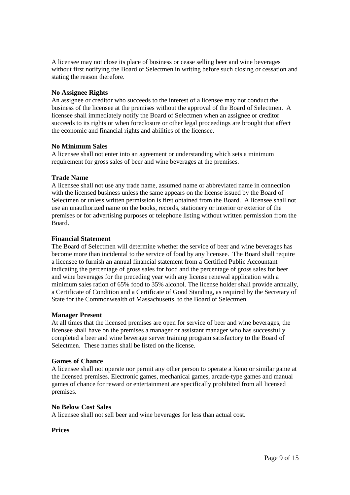A licensee may not close its place of business or cease selling beer and wine beverages without first notifying the Board of Selectmen in writing before such closing or cessation and stating the reason therefore.

#### **No Assignee Rights**

An assignee or creditor who succeeds to the interest of a licensee may not conduct the business of the licensee at the premises without the approval of the Board of Selectmen. A licensee shall immediately notify the Board of Selectmen when an assignee or creditor succeeds to its rights or when foreclosure or other legal proceedings are brought that affect the economic and financial rights and abilities of the licensee.

#### **No Minimum Sales**

A licensee shall not enter into an agreement or understanding which sets a minimum requirement for gross sales of beer and wine beverages at the premises.

#### **Trade Name**

A licensee shall not use any trade name, assumed name or abbreviated name in connection with the licensed business unless the same appears on the license issued by the Board of Selectmen or unless written permission is first obtained from the Board. A licensee shall not use an unauthorized name on the books, records, stationery or interior or exterior of the premises or for advertising purposes or telephone listing without written permission from the Board.

#### **Financial Statement**

The Board of Selectmen will determine whether the service of beer and wine beverages has become more than incidental to the service of food by any licensee. The Board shall require a licensee to furnish an annual financial statement from a Certified Public Accountant indicating the percentage of gross sales for food and the percentage of gross sales for beer and wine beverages for the preceding year with any license renewal application with a minimum sales ration of 65% food to 35% alcohol. The license holder shall provide annually, a Certificate of Condition and a Certificate of Good Standing, as required by the Secretary of State for the Commonwealth of Massachusetts, to the Board of Selectmen.

#### **Manager Present**

At all times that the licensed premises are open for service of beer and wine beverages, the licensee shall have on the premises a manager or assistant manager who has successfully completed a beer and wine beverage server training program satisfactory to the Board of Selectmen. These names shall be listed on the license.

#### **Games of Chance**

A licensee shall not operate nor permit any other person to operate a Keno or similar game at the licensed premises. Electronic games, mechanical games, arcade-type games and manual games of chance for reward or entertainment are specifically prohibited from all licensed premises.

#### **No Below Cost Sales**

A licensee shall not sell beer and wine beverages for less than actual cost.

#### **Prices**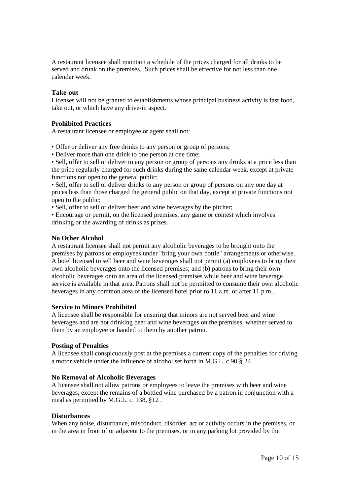A restaurant licensee shall maintain a schedule of the prices charged for all drinks to be served and drunk on the premises. Such prices shall be effective for not less than one calendar week.

#### **Take-out**

Licenses will not be granted to establishments whose principal business activity is fast food, take out, or which have any drive-in aspect.

#### **Prohibited Practices**

A restaurant licensee or employee or agent shall not:

- Offer or deliver any free drinks to any person or group of persons;
- Deliver more than one drink to one person at one time;

• Sell, offer to sell or deliver to any person or group of persons any drinks at a price less than the price regularly charged for such drinks during the same calendar week, except at private functions not open to the general public;

• Sell, offer to sell or deliver drinks to any person or group of persons on any one day at prices less than those charged the general public on that day, except at private functions not open to the public;

• Sell, offer to sell or deliver beer and wine beverages by the pitcher;

• Encourage or permit, on the licensed premises, any game or contest which involves drinking or the awarding of drinks as prizes.

#### **No Other Alcohol**

A restaurant licensee shall not permit any alcoholic beverages to be brought onto the premises by patrons or employees under "bring your own bottle" arrangements or otherwise. A hotel licensed to sell beer and wine beverages shall not permit (a) employees to bring their own alcoholic beverages onto the licensed premises; and (b) patrons to bring their own alcoholic beverages onto an area of the licensed premises while beer and wine beverage service is available in that area. Patrons shall not be permitted to consume their own alcoholic beverages in any common area of the licensed hotel prior to 11 a.m. or after 11 p.m..

#### **Service to Minors Prohibited**

A licensee shall be responsible for ensuring that minors are not served beer and wine beverages and are not drinking beer and wine beverages on the premises, whether served to them by an employee or handed to them by another patron.

#### **Posting of Penalties**

A licensee shall conspicuously post at the premises a current copy of the penalties for driving a motor vehicle under the influence of alcohol set forth in M.G.L. c.90 § 24.

#### **No Removal of Alcoholic Beverages**

A licensee shall not allow patrons or employees to leave the premises with beer and wine beverages, except the remains of a bottled wine purchased by a patron in conjunction with a meal as permitted by M.G.L. c. 138, §12 .

#### **Disturbances**

When any noise, disturbance, misconduct, disorder, act or activity occurs in the premises, or in the area in front of or adjacent to the premises, or in any parking lot provided by the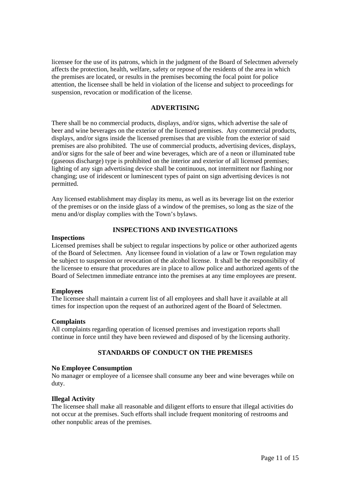licensee for the use of its patrons, which in the judgment of the Board of Selectmen adversely affects the protection, health, welfare, safety or repose of the residents of the area in which the premises are located, or results in the premises becoming the focal point for police attention, the licensee shall be held in violation of the license and subject to proceedings for suspension, revocation or modification of the license.

#### **ADVERTISING**

There shall be no commercial products, displays, and/or signs, which advertise the sale of beer and wine beverages on the exterior of the licensed premises. Any commercial products, displays, and/or signs inside the licensed premises that are visible from the exterior of said premises are also prohibited. The use of commercial products, advertising devices, displays, and/or signs for the sale of beer and wine beverages, which are of a neon or illuminated tube (gaseous discharge) type is prohibited on the interior and exterior of all licensed premises; lighting of any sign advertising device shall be continuous, not intermittent nor flashing nor changing; use of iridescent or luminescent types of paint on sign advertising devices is not permitted.

Any licensed establishment may display its menu, as well as its beverage list on the exterior of the premises or on the inside glass of a window of the premises, so long as the size of the menu and/or display complies with the Town's bylaws.

# **INSPECTIONS AND INVESTIGATIONS**

#### **Inspections**

Licensed premises shall be subject to regular inspections by police or other authorized agents of the Board of Selectmen. Any licensee found in violation of a law or Town regulation may be subject to suspension or revocation of the alcohol license. It shall be the responsibility of the licensee to ensure that procedures are in place to allow police and authorized agents of the Board of Selectmen immediate entrance into the premises at any time employees are present.

#### **Employees**

The licensee shall maintain a current list of all employees and shall have it available at all times for inspection upon the request of an authorized agent of the Board of Selectmen.

#### **Complaints**

All complaints regarding operation of licensed premises and investigation reports shall continue in force until they have been reviewed and disposed of by the licensing authority.

### **STANDARDS OF CONDUCT ON THE PREMISES**

#### **No Employee Consumption**

No manager or employee of a licensee shall consume any beer and wine beverages while on duty.

#### **Illegal Activity**

The licensee shall make all reasonable and diligent efforts to ensure that illegal activities do not occur at the premises. Such efforts shall include frequent monitoring of restrooms and other nonpublic areas of the premises.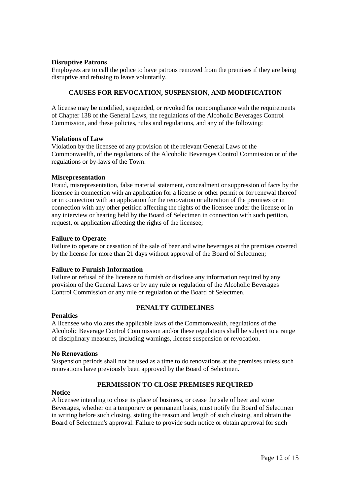#### **Disruptive Patrons**

Employees are to call the police to have patrons removed from the premises if they are being disruptive and refusing to leave voluntarily.

### **CAUSES FOR REVOCATION, SUSPENSION, AND MODIFICATION**

A license may be modified, suspended, or revoked for noncompliance with the requirements of Chapter 138 of the General Laws, the regulations of the Alcoholic Beverages Control Commission, and these policies, rules and regulations, and any of the following:

#### **Violations of Law**

Violation by the licensee of any provision of the relevant General Laws of the Commonwealth, of the regulations of the Alcoholic Beverages Control Commission or of the regulations or by-laws of the Town.

#### **Misrepresentation**

Fraud, misrepresentation, false material statement, concealment or suppression of facts by the licensee in connection with an application for a license or other permit or for renewal thereof or in connection with an application for the renovation or alteration of the premises or in connection with any other petition affecting the rights of the licensee under the license or in any interview or hearing held by the Board of Selectmen in connection with such petition, request, or application affecting the rights of the licensee;

#### **Failure to Operate**

Failure to operate or cessation of the sale of beer and wine beverages at the premises covered by the license for more than 21 days without approval of the Board of Selectmen;

#### **Failure to Furnish Information**

Failure or refusal of the licensee to furnish or disclose any information required by any provision of the General Laws or by any rule or regulation of the Alcoholic Beverages Control Commission or any rule or regulation of the Board of Selectmen.

### **PENALTY GUIDELINES**

#### **Penalties**

A licensee who violates the applicable laws of the Commonwealth, regulations of the Alcoholic Beverage Control Commission and/or these regulations shall be subject to a range of disciplinary measures, including warnings, license suspension or revocation.

#### **No Renovations**

Suspension periods shall not be used as a time to do renovations at the premises unless such renovations have previously been approved by the Board of Selectmen.

# **PERMISSION TO CLOSE PREMISES REQUIRED**

#### **Notice**

A licensee intending to close its place of business, or cease the sale of beer and wine Beverages, whether on a temporary or permanent basis, must notify the Board of Selectmen in writing before such closing, stating the reason and length of such closing, and obtain the Board of Selectmen's approval. Failure to provide such notice or obtain approval for such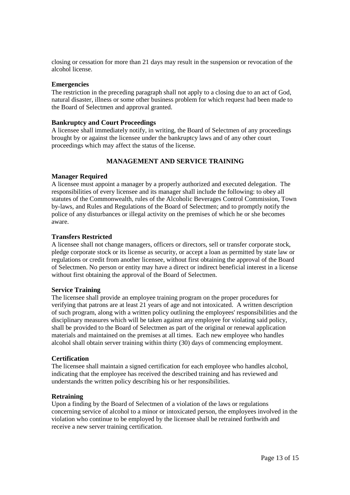closing or cessation for more than 21 days may result in the suspension or revocation of the alcohol license.

#### **Emergencies**

The restriction in the preceding paragraph shall not apply to a closing due to an act of God, natural disaster, illness or some other business problem for which request had been made to the Board of Selectmen and approval granted.

#### **Bankruptcy and Court Proceedings**

A licensee shall immediately notify, in writing, the Board of Selectmen of any proceedings brought by or against the licensee under the bankruptcy laws and of any other court proceedings which may affect the status of the license.

# **MANAGEMENT AND SERVICE TRAINING**

#### **Manager Required**

A licensee must appoint a manager by a properly authorized and executed delegation. The responsibilities of every licensee and its manager shall include the following: to obey all statutes of the Commonwealth, rules of the Alcoholic Beverages Control Commission, Town by-laws, and Rules and Regulations of the Board of Selectmen; and to promptly notify the police of any disturbances or illegal activity on the premises of which he or she becomes aware.

#### **Transfers Restricted**

A licensee shall not change managers, officers or directors, sell or transfer corporate stock, pledge corporate stock or its license as security, or accept a loan as permitted by state law or regulations or credit from another licensee, without first obtaining the approval of the Board of Selectmen. No person or entity may have a direct or indirect beneficial interest in a license without first obtaining the approval of the Board of Selectmen.

#### **Service Training**

The licensee shall provide an employee training program on the proper procedures for verifying that patrons are at least 21 years of age and not intoxicated. A written description of such program, along with a written policy outlining the employees' responsibilities and the disciplinary measures which will be taken against any employee for violating said policy, shall be provided to the Board of Selectmen as part of the original or renewal application materials and maintained on the premises at all times. Each new employee who handles alcohol shall obtain server training within thirty (30) days of commencing employment.

#### **Certification**

The licensee shall maintain a signed certification for each employee who handles alcohol, indicating that the employee has received the described training and has reviewed and understands the written policy describing his or her responsibilities.

#### **Retraining**

Upon a finding by the Board of Selectmen of a violation of the laws or regulations concerning service of alcohol to a minor or intoxicated person, the employees involved in the violation who continue to be employed by the licensee shall be retrained forthwith and receive a new server training certification.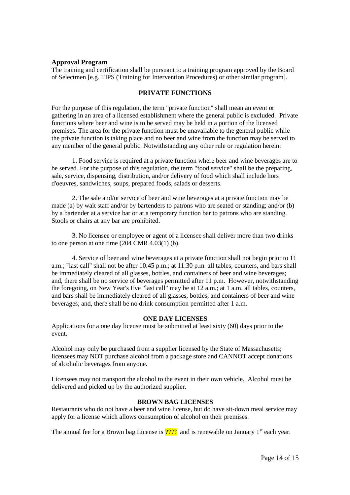#### **Approval Program**

The training and certification shall be pursuant to a training program approved by the Board of Selectmen [e.g. TIPS (Training for Intervention Procedures) or other similar program].

#### **PRIVATE FUNCTIONS**

For the purpose of this regulation, the term "private function" shall mean an event or gathering in an area of a licensed establishment where the general public is excluded. Private functions where beer and wine is to be served may be held in a portion of the licensed premises. The area for the private function must be unavailable to the general public while the private function is taking place and no beer and wine from the function may be served to any member of the general public. Notwithstanding any other rule or regulation herein:

1. Food service is required at a private function where beer and wine beverages are to be served. For the purpose of this regulation, the term "food service" shall be the preparing, sale, service, dispensing, distribution, and/or delivery of food which shall include hors d'oeuvres, sandwiches, soups, prepared foods, salads or desserts.

2. The sale and/or service of beer and wine beverages at a private function may be made (a) by wait staff and/or by bartenders to patrons who are seated or standing; and/or (b) by a bartender at a service bar or at a temporary function bar to patrons who are standing. Stools or chairs at any bar are prohibited.

3. No licensee or employee or agent of a licensee shall deliver more than two drinks to one person at one time (204 CMR 4.03(1) (b).

4. Service of beer and wine beverages at a private function shall not begin prior to 11 a.m.; "last call" shall not be after 10:45 p.m.; at 11:30 p.m. all tables, counters, and bars shall be immediately cleared of all glasses, bottles, and containers of beer and wine beverages; and, there shall be no service of beverages permitted after 11 p.m. However, notwithstanding the foregoing, on New Year's Eve "last call" may be at 12 a.m.; at 1 a.m. all tables, counters, and bars shall be immediately cleared of all glasses, bottles, and containers of beer and wine beverages; and, there shall be no drink consumption permitted after 1 a.m.

#### **ONE DAY LICENSES**

Applications for a one day license must be submitted at least sixty (60) days prior to the event.

Alcohol may only be purchased from a supplier licensed by the State of Massachusetts; licensees may NOT purchase alcohol from a package store and CANNOT accept donations of alcoholic beverages from anyone.

Licensees may not transport the alcohol to the event in their own vehicle. Alcohol must be delivered and picked up by the authorized supplier.

#### **BROWN BAG LICENSES**

Restaurants who do not have a beer and wine license, but do have sit-down meal service may apply for a license which allows consumption of alcohol on their premises.

The annual fee for a Brown bag License is  $\frac{7222}{2}$  and is renewable on January 1<sup>st</sup> each year.